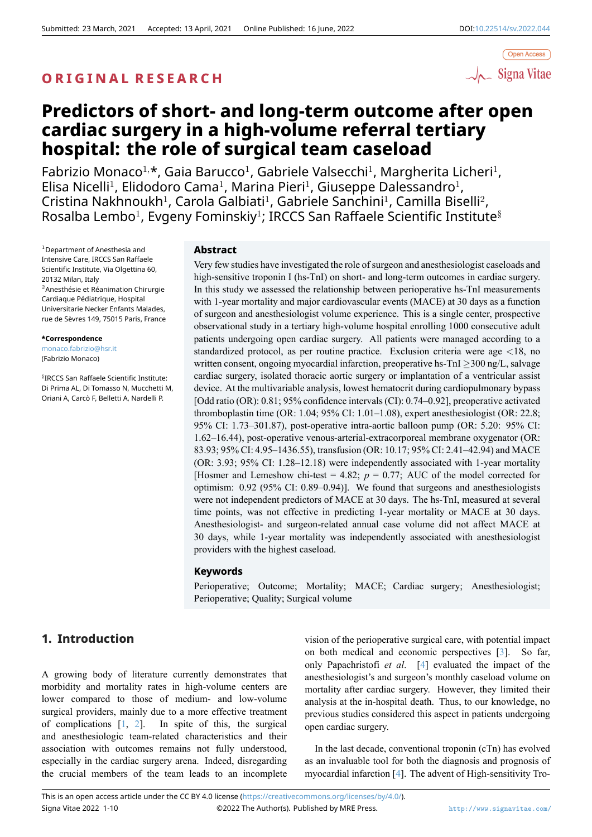## **O R I G I N A L R E S E A R C H**



# **Predictors of short- and long-term outcome after open cardiac surgery in a high-volume referral tertiary hospital: the role of surgical team caseload**

Fabrizio Monaco<sup>1,</sup>\*, Gaia Barucco<sup>1</sup>, Gabriele Valsecchi<sup>1</sup>, Margherita Licheri<sup>1</sup>, Elisa Nicelli<sup>1</sup>, Elidodoro Cama<sup>1</sup>, Marina Pieri<sup>1</sup>, Giuseppe Dalessandro<sup>1</sup>, Cristina Nakhnoukh<sup>1</sup>, Carola Galbiati<sup>1</sup>, Gabriele Sanchini<sup>1</sup>, Camilla Biselli<sup>2</sup>,  $R$ osalba Lembo $^1$ , Evgeny Fominskiy $^1$ ; IRCCS San Raffaele Scientific Institute $^{\S}$ 

<sup>1</sup>Department of Anesthesia and Intensive Care, IRCCS San Raffaele Scientific Institute, Via Olgettina 60, 20132 Milan, Italy <sup>2</sup>Anesthésie et Réanimation Chirurgie Cardiaque Pédiatrique, Hospital Universitarie Necker Enfants Malades, rue de Sèvres 149, 75015 Paris, France

#### **\*Correspondence**

monaco.fabrizio@hsr.it (Fabrizio Monaco)

§ IRCCS San Raffaele Scientific Institute: Di Prima AL, Di Tomasso N, Mucchetti M, Oriani A, Carcò F, Belletti A, Nardelli P.

#### **Abstract**

Very few studies have investigated the role of surgeon and anesthesiologist caseloads and high-sensitive troponin I (hs-TnI) on short- and long-term outcomes in cardiac surgery. In this study we assessed the relationship between perioperative hs-TnI measurements with 1-year mortality and major cardiovascular events (MACE) at 30 days as a function of surgeon and anesthesiologist volume experience. This is a single center, prospective observational study in a tertiary high-volume hospital enrolling 1000 consecutive adult patients undergoing open cardiac surgery. All patients were managed according to a standardized protocol, as per routine practice. Exclusion criteria were age *<*18, no written consent, ongoing myocardial infarction, preoperative hs-TnI *≥*300 ng/L, salvage cardiac surgery, isolated thoracic aortic surgery or implantation of a ventricular assist device. At the multivariable analysis, lowest hematocrit during cardiopulmonary bypass [Odd ratio (OR): 0.81; 95% confidence intervals (CI): 0.74–0.92], preoperative activated thromboplastin time (OR: 1.04; 95% CI: 1.01–1.08), expert anesthesiologist (OR: 22.8; 95% CI: 1.73–301.87), post-operative intra-aortic balloon pump (OR: 5.20: 95% CI: 1.62–16.44), post-operative venous-arterial-extracorporeal membrane oxygenator (OR: 83.93; 95% CI: 4.95–1436.55), transfusion (OR: 10.17; 95% CI: 2.41–42.94) and MACE (OR: 3.93; 95% CI: 1.28–12.18) were independently associated with 1-year mortality [Hosmer and Lemeshow chi-test = 4.82;  $p = 0.77$ ; AUC of the model corrected for optimism: 0.92 (95% CI: 0.89–0.94)]. We found that surgeons and anesthesiologists were not independent predictors of MACE at 30 days. The hs-TnI, measured at several time points, was not effective in predicting 1-year mortality or MACE at 30 days. Anesthesiologist- and surgeon-related annual case volume did not affect MACE at 30 days, while 1-year mortality was independently associated with anesthesiologist providers with the highest caseload.

## **Keywords**

Perioperative; Outcome; Mortality; MACE; Cardiac surgery; Anesthesiologist; Perioperative; Quality; Surgical volume

## **1. Introduction**

A growing body of literature currently demonstrates that morbidity and mortality rates in high-volume centers are lower compared to those of medium- and low-volume surgical providers, mainly due to a more effective treatment of complications  $[1, 2]$ . In spite of this, the surgical and anesthesiologic team-related characteristics and their association with outcomes remains not fully understood, especially in the cardiac surgery arena. Indeed, disregarding the crucial membe[rs](#page-8-0) [of](#page-8-1) the team leads to an incomplete

vision of the perioperative surgical care, with potential impact on both medical and economic perspectives [3]. So far, only Papachristofi *et al*. [4] evaluated the impact of the anesthesiologist's and surgeon's monthly caseload volume on mortality after cardiac surgery. However, they limited their analysis at the in-hospital death. Thus, to our k[no](#page-8-2)wledge, no previous studies consideredt[hi](#page-9-0)s aspect in patients undergoing open cardiac surgery.

In the last decade, conventional troponin (cTn) has evolved as an invaluable tool for both the diagnosis and prognosis of myocardial infarction [4]. The advent of High-sensitivity Tro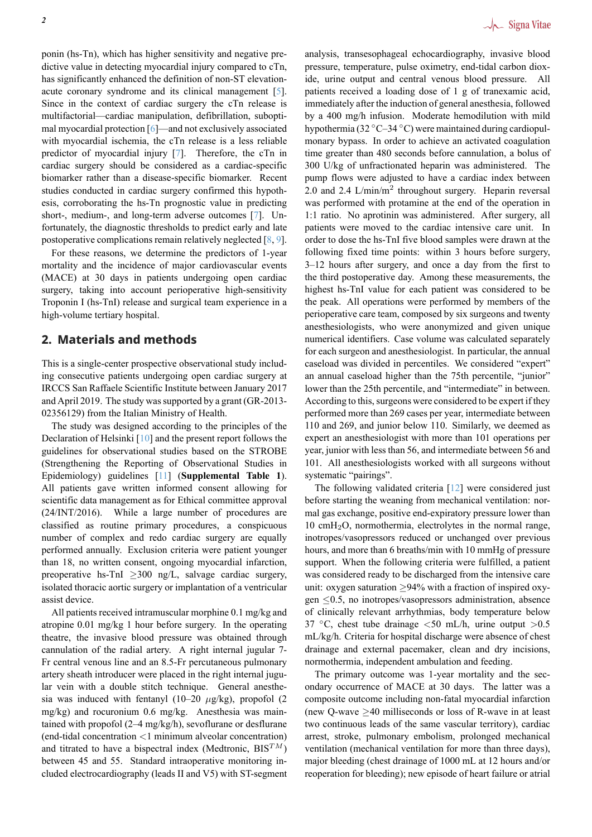ponin (hs-Tn), which has higher sensitivity and negative predictive value in detecting myocardial injury compared to cTn, has significantly enhanced the definition of non-ST elevationacute coronary syndrome and its clinical management [5]. Since in the context of cardiac surgery the cTn release is multifactorial—cardiac manipulation, defibrillation, suboptimal myocardial protection [6]—and not exclusively associated with myocardial ischemia, the cTn release is a less relia[bl](#page-9-1)e predictor of myocardial injury [7]. Therefore, the cTn in cardiac surgery should be considered as a cardiac-specific biomarker rather than a d[ise](#page-9-2)ase-specific biomarker. Recent studies conducted in cardiac surgery confirmed this hypothesis, corroborating the hs-Tn pr[og](#page-9-3)nostic value in predicting short-, medium-, and long-term adverse outcomes [7]. Unfortunately, the diagnostic thresholds to predict early and late postoperative complications remain relatively neglected [8, 9].

For these reasons, we determine the predictors of 1-year mortality and the incidence of major cardiovascul[ar](#page-9-3) events (MACE) at 30 days in patients undergoing open cardiac surgery, taking into account perioperative high-sensi[ti](#page-9-4)[vit](#page-9-5)y Troponin I (hs-TnI) release and surgical team experience in a high-volume tertiary hospital.

## **2. Materials and methods**

This is a single-center prospective observational study including consecutive patients undergoing open cardiac surgery at IRCCS San Raffaele Scientific Institute between January 2017 and April 2019. The study was supported by a grant (GR-2013- 02356129) from the Italian Ministry of Health.

The study was designed according to the principles of the Declaration of Helsinki [10] and the present report follows the guidelines for observational studies based on the STROBE (Strengthening the Reporting of Observational Studies in Epidemiology) guidelines [11] (**Supplemental Table 1**). All patients gave writ[ten](#page-9-6) informed consent allowing for scientific data management as for Ethical committee approval (24/INT/2016). While a large number of procedures are classified as routine prim[ary](#page-9-7) procedures, a conspicuous number of complex and redo cardiac surgery are equally performed annually. Exclusion criteria were patient younger than 18, no written consent, ongoing myocardial infarction, preoperative hs-TnI *≥*300 ng/L, salvage cardiac surgery, isolated thoracic aortic surgery or implantation of a ventricular assist device.

All patients received intramuscular morphine 0.1 mg/kg and atropine 0.01 mg/kg 1 hour before surgery. In the operating theatre, the invasive blood pressure was obtained through cannulation of the radial artery. A right internal jugular 7- Fr central venous line and an 8.5-Fr percutaneous pulmonary artery sheath introducer were placed in the right internal jugular vein with a double stitch technique. General anesthesia was induced with fentanyl (10–20 *µ*g/kg), propofol (2 mg/kg) and rocuronium 0.6 mg/kg. Anesthesia was maintained with propofol (2–4 mg/kg/h), sevoflurane or desflurane (end-tidal concentration *<*1 minimum alveolar concentration) and titrated to have a bispectral index (Medtronic, BIS*TM*) between 45 and 55. Standard intraoperative monitoring included electrocardiography (leads II and V5) with ST-segment analysis, transesophageal echocardiography, invasive blood pressure, temperature, pulse oximetry, end-tidal carbon dioxide, urine output and central venous blood pressure. All patients received a loading dose of 1 g of tranexamic acid, immediately after the induction of general anesthesia, followed by a 400 mg/h infusion. Moderate hemodilution with mild hypothermia (32 *◦*C–34 *◦*C) were maintained during cardiopulmonary bypass. In order to achieve an activated coagulation time greater than 480 seconds before cannulation, a bolus of 300 U/kg of unfractionated heparin was administered. The pump flows were adjusted to have a cardiac index between 2.0 and 2.4 L/min/m<sup>2</sup> throughout surgery. Heparin reversal was performed with protamine at the end of the operation in 1:1 ratio. No aprotinin was administered. After surgery, all patients were moved to the cardiac intensive care unit. In order to dose the hs-TnI five blood samples were drawn at the following fixed time points: within 3 hours before surgery, 3–12 hours after surgery, and once a day from the first to the third postoperative day. Among these measurements, the highest hs-TnI value for each patient was considered to be the peak. All operations were performed by members of the perioperative care team, composed by six surgeons and twenty anesthesiologists, who were anonymized and given unique numerical identifiers. Case volume was calculated separately for each surgeon and anesthesiologist. In particular, the annual caseload was divided in percentiles. We considered "expert" an annual caseload higher than the 75th percentile, "junior" lower than the 25th percentile, and "intermediate" in between. According to this, surgeons were considered to be expert if they performed more than 269 cases per year, intermediate between 110 and 269, and junior below 110. Similarly, we deemed as expert an anesthesiologist with more than 101 operations per year, junior with less than 56, and intermediate between 56 and 101. All anesthesiologists worked with all surgeons without systematic "pairings".

The following validated criteria [12] were considered just before starting the weaning from mechanical ventilation: normal gas exchange, positive end-expiratory pressure lower than 10 cmH2O, normothermia, electrolytes in the normal range, inotropes/vasopressors reduced or [unc](#page-9-8)hanged over previous hours, and more than 6 breaths/min with 10 mmHg of pressure support. When the following criteria were fulfilled, a patient was considered ready to be discharged from the intensive care unit: oxygen saturation *≥*94% with a fraction of inspired oxygen *≤*0.5, no inotropes/vasopressors administration, absence of clinically relevant arrhythmias, body temperature below 37 *◦*C, chest tube drainage *<*50 mL/h, urine output *>*0.5 mL/kg/h. Criteria for hospital discharge were absence of chest drainage and external pacemaker, clean and dry incisions, normothermia, independent ambulation and feeding.

The primary outcome was 1-year mortality and the secondary occurrence of MACE at 30 days. The latter was a composite outcome including non-fatal myocardial infarction (new Q-wave *≥*40 milliseconds or loss of R-wave in at least two continuous leads of the same vascular territory), cardiac arrest, stroke, pulmonary embolism, prolonged mechanical ventilation (mechanical ventilation for more than three days), major bleeding (chest drainage of 1000 mL at 12 hours and/or reoperation for bleeding); new episode of heart failure or atrial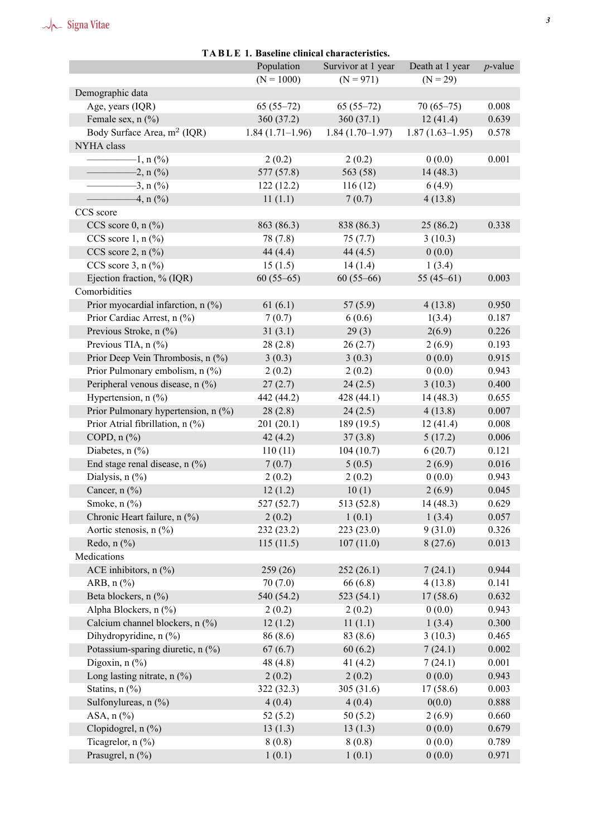# $\sqrt{\overline{\phantom{a}}\phantom{a}}$  Signa Vitae

| IABLE 1. Baseline clinical characteristics. |                   |                    |                   |            |  |  |
|---------------------------------------------|-------------------|--------------------|-------------------|------------|--|--|
|                                             | Population        | Survivor at 1 year | Death at 1 year   | $p$ -value |  |  |
|                                             | $(N = 1000)$      | $(N = 971)$        | $(N = 29)$        |            |  |  |
| Demographic data                            |                   |                    |                   |            |  |  |
| Age, years (IQR)                            | $65(55-72)$       | $65(55-72)$        | $70(65-75)$       | 0.008      |  |  |
| Female sex, n (%)                           | 360 (37.2)        | 360(37.1)          | 12(41.4)          | 0.639      |  |  |
| Body Surface Area, m <sup>2</sup> (IQR)     | $1.84(1.71-1.96)$ | $1.84(1.70-1.97)$  | $1.87(1.63-1.95)$ | 0.578      |  |  |
| NYHA class                                  |                   |                    |                   |            |  |  |
| $-1, n$ (%)                                 | 2(0.2)            | 2(0.2)             | 0(0.0)            | 0.001      |  |  |
| $-2, n (%)$                                 | 577 (57.8)        | 563 (58)           | 14(48.3)          |            |  |  |
| $-3, n$ (%)                                 | 122(12.2)         | 116(12)            | 6(4.9)            |            |  |  |
| $-4, n \ (\%)$                              | 11(1.1)           | 7(0.7)             | 4(13.8)           |            |  |  |
| CCS score                                   |                   |                    |                   |            |  |  |
| CCS score $0, n$ (%)                        | 863 (86.3)        | 838 (86.3)         | 25(86.2)          | 0.338      |  |  |
| CCS score $1, n$ (%)                        | 78 (7.8)          | 75(7.7)            | 3(10.3)           |            |  |  |
| CCS score $2$ , n $(\%$ )                   | 44(4.4)           | 44(4.5)            | 0(0.0)            |            |  |  |
| CCS score $3, n$ (%)                        | 15(1.5)           | 14(1.4)            | 1(3.4)            |            |  |  |
| Ejection fraction, % (IQR)                  | $60(55-65)$       | $60(55-66)$        | 55 $(45-61)$      | 0.003      |  |  |
| Comorbidities                               |                   |                    |                   |            |  |  |
| Prior myocardial infarction, n (%)          | 61(6.1)           | 57(5.9)            | 4(13.8)           | 0.950      |  |  |
| Prior Cardiac Arrest, n (%)                 | 7(0.7)            | 6(0.6)             | 1(3.4)            | 0.187      |  |  |
| Previous Stroke, n (%)                      | 31(3.1)           | 29(3)              | 2(6.9)            | 0.226      |  |  |
| Previous TIA, n (%)                         | 28(2.8)           | 26(2.7)            | 2(6.9)            | 0.193      |  |  |
| Prior Deep Vein Thrombosis, n (%)           | 3(0.3)            | 3(0.3)             | 0(0.0)            | 0.915      |  |  |
| Prior Pulmonary embolism, n (%)             | 2(0.2)            | 2(0.2)             | 0(0.0)            | 0.943      |  |  |
| Peripheral venous disease, n (%)            | 27(2.7)           | 24(2.5)            | 3(10.3)           | 0.400      |  |  |
| Hypertension, $n$ (%)                       | 442 (44.2)        | 428(44.1)          | 14(48.3)          | 0.655      |  |  |
| Prior Pulmonary hypertension, n (%)         | 28(2.8)           | 24(2.5)            | 4(13.8)           | 0.007      |  |  |
| Prior Atrial fibrillation, n (%)            | 201(20.1)         | 189(19.5)          | 12(41.4)          | 0.008      |  |  |
| COPD, $n$ $%$                               | 42(4.2)           | 37(3.8)            | 5(17.2)           | 0.006      |  |  |
| Diabetes, $n$ (%)                           | 110(11)           | 104(10.7)          | 6(20.7)           | 0.121      |  |  |
| End stage renal disease, $n$ (%)            | 7(0.7)            | 5(0.5)             | 2(6.9)            | 0.016      |  |  |
| Dialysis, $n$ (%)                           | 2(0.2)            | 2(0.2)             | 0(0.0)            | 0.943      |  |  |
| Cancer, $n$ (%)                             | 12(1.2)           | 10(1)              | 2(6.9)            | 0.045      |  |  |
| Smoke, $n$ $(\%)$                           | 527 (52.7)        | 513 (52.8)         | 14(48.3)          | 0.629      |  |  |
| Chronic Heart failure, n (%)                | 2(0.2)            | 1(0.1)             | 1(3.4)            | 0.057      |  |  |
| Aortic stenosis, $n$ (%)                    | 232(23.2)         | 223 (23.0)         | 9(31.0)           | 0.326      |  |  |
| Redo, $n$ $(\%)$                            | 115(11.5)         | 107(11.0)          | 8(27.6)           | 0.013      |  |  |
| Medications                                 |                   |                    |                   |            |  |  |
| ACE inhibitors, $n$ (%)                     | 259(26)           | 252(26.1)          | 7(24.1)           | 0.944      |  |  |
| ARB, $n$ $%$                                | 70(7.0)           | 66(6.8)            | 4(13.8)           | 0.141      |  |  |
| Beta blockers, n (%)                        | 540 (54.2)        | 523(54.1)          | 17(58.6)          | 0.632      |  |  |
| Alpha Blockers, n (%)                       | 2(0.2)            | 2(0.2)             | 0(0.0)            | 0.943      |  |  |
| Calcium channel blockers, n (%)             | 12(1.2)           | 11(1.1)            | 1(3.4)            | 0.300      |  |  |
| Dihydropyridine, n (%)                      | 86 (8.6)          | 83 (8.6)           | 3(10.3)           | 0.465      |  |  |
| Potassium-sparing diuretic, n (%)           | 67(6.7)           | 60(6.2)            | 7(24.1)           | 0.002      |  |  |
| Digoxin, $n$ $(\%)$                         | 48 (4.8)          | 41 $(4.2)$         | 7(24.1)           | 0.001      |  |  |
| Long lasting nitrate, $n$ (%)               | 2(0.2)            | 2(0.2)             | 0(0.0)            | 0.943      |  |  |
| Statins, n (%)                              | 322(32.3)         | 305(31.6)          | 17(58.6)          | 0.003      |  |  |
| Sulfonylureas, n (%)                        | 4(0.4)            | 4(0.4)             | 0(0.0)            | 0.888      |  |  |
| ASA, $n$ $%$                                | 52(5.2)           | 50(5.2)            | 2(6.9)            | 0.660      |  |  |
| Clopidogrel, n (%)                          | 13(1.3)           | 13(1.3)            | 0(0.0)            | 0.679      |  |  |
| Ticagrelor, $n$ (%)                         | 8(0.8)            | 8(0.8)             | 0(0.0)            | 0.789      |  |  |

Prasugrel, n (%)  $1 (0.1)$   $1 (0.1)$   $0 (0.0)$   $0.971$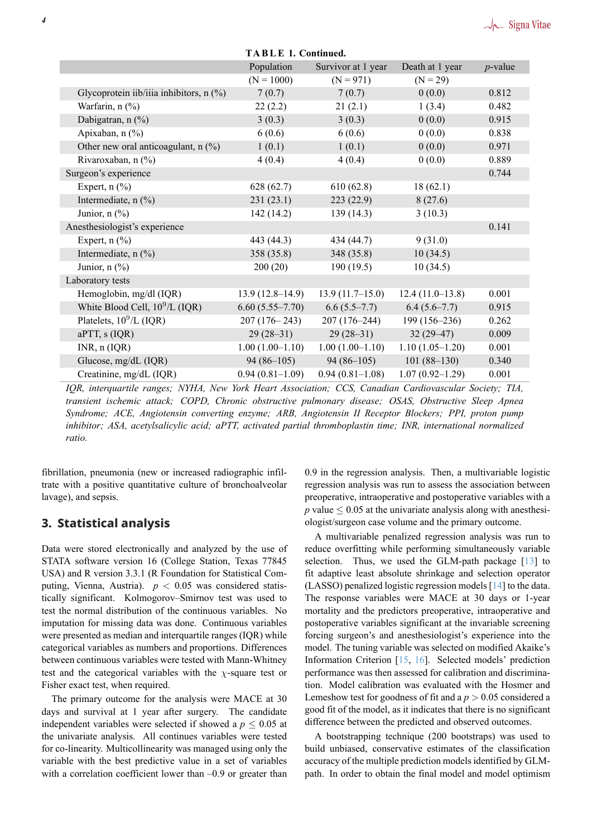<span id="page-3-0"></span>

| <b>TABLE 1. Continued.</b>              |                   |                    |                     |            |  |  |
|-----------------------------------------|-------------------|--------------------|---------------------|------------|--|--|
|                                         | Population        | Survivor at 1 year | Death at 1 year     | $p$ -value |  |  |
|                                         | $(N = 1000)$      | $(N = 971)$        | $(N = 29)$          |            |  |  |
| Glycoprotein iib/iiia inhibitors, n (%) | 7(0.7)            | 7(0.7)             | 0(0.0)              | 0.812      |  |  |
| Warfarin, n (%)                         | 22(2.2)           | 21(2.1)            | 1(3.4)              | 0.482      |  |  |
| Dabigatran, n (%)                       | 3(0.3)            | 3(0.3)             | 0(0.0)              | 0.915      |  |  |
| Apixaban, n (%)                         | 6(0.6)            | 6(0.6)             | 0(0.0)              | 0.838      |  |  |
| Other new oral anticoagulant, n (%)     | 1(0.1)            | 1(0.1)             | 0(0.0)              | 0.971      |  |  |
| Rivaroxaban, n (%)                      | 4(0.4)            | 4(0.4)             | 0(0.0)              | 0.889      |  |  |
| Surgeon's experience                    |                   |                    |                     | 0.744      |  |  |
| Expert, $n$ $(\%)$                      | 628(62.7)         | 610(62.8)          | 18(62.1)            |            |  |  |
| Intermediate, $n$ (%)                   | 231(23.1)         | 223(22.9)          | 8(27.6)             |            |  |  |
| Junior, $n$ (%)                         | 142(14.2)         | 139(14.3)          | 3(10.3)             |            |  |  |
| Anesthesiologist's experience           |                   |                    |                     | 0.141      |  |  |
| Expert, $n$ $(\%)$                      | 443 (44.3)        | 434 (44.7)         | 9(31.0)             |            |  |  |
| Intermediate, n (%)                     | 358 (35.8)        | 348 (35.8)         | 10(34.5)            |            |  |  |
| Junior, $n$ $(\%)$                      | 200(20)           | 190(19.5)          | 10(34.5)            |            |  |  |
| Laboratory tests                        |                   |                    |                     |            |  |  |
| Hemoglobin, mg/dl (IQR)                 | $13.9(12.8-14.9)$ | $13.9(11.7-15.0)$  | $12.4(11.0-13.8)$   | 0.001      |  |  |
| White Blood Cell, $10^9$ /L (IQR)       | $6.60(5.55-7.70)$ | $6.6(5.5-7.7)$     | $6.4(5.6-7.7)$      | 0.915      |  |  |
| Platelets, 10 <sup>9</sup> /L (IQR)     | $207(176-243)$    | $207(176-244)$     | $199(156-236)$      | 0.262      |  |  |
| aPTT, s (IQR)                           | $29(28-31)$       | $29(28-31)$        | $32(29-47)$         | 0.009      |  |  |
| $INR$ , $n (IQR)$                       | $1.00(1.00-1.10)$ | $1.00(1.00-1.10)$  | $1.10(1.05-1.20)$   | 0.001      |  |  |
| Glucose, mg/dL (IQR)                    | $94(86-105)$      | $94(86-105)$       | $101(88-130)$       | 0.340      |  |  |
| Creatinine, mg/dL (IQR)                 | $0.94(0.81-1.09)$ | $0.94(0.81-1.08)$  | $1.07(0.92 - 1.29)$ | 0.001      |  |  |

*IQR, interquartile ranges; NYHA, New York Heart Association; CCS, Canadian Cardiovascular Society; TIA, transient ischemic attack; COPD, Chronic obstructive pulmonary disease; OSAS, Obstructive Sleep Apnea Syndrome; ACE, Angiotensin converting enzyme; ARB, Angiotensin II Receptor Blockers; PPI, proton pump inhibitor; ASA, acetylsalicylic acid; aPTT, activated partial thromboplastin time; INR, international normalized ratio.*

fibrillation, pneumonia (new or increased radiographic infiltrate with a positive quantitative culture of bronchoalveolar lavage), and sepsis.

## **3. Statistical analysis**

Data were stored electronically and analyzed by the use of STATA software version 16 (College Station, Texas 77845 USA) and R version 3.3.1 (R Foundation for Statistical Computing, Vienna, Austria). *p <* 0.05 was considered statistically significant. Kolmogorov–Smirnov test was used to test the normal distribution of the continuous variables. No imputation for missing data was done. Continuous variables were presented as median and interquartile ranges (IQR) while categorical variables as numbers and proportions. Differences between continuous variables were tested with Mann-Whitney test and the categorical variables with the  $\chi$ -square test or Fisher exact test, when required.

The primary outcome for the analysis were MACE at 30 days and survival at 1 year after surgery. The candidate independent variables were selected if showed a  $p \leq 0.05$  at the univariate analysis. All continues variables were tested for co-linearity. Multicollinearity was managed using only the variable with the best predictive value in a set of variables with a correlation coefficient lower than  $-0.9$  or greater than 0.9 in the regression analysis. Then, a multivariable logistic regression analysis was run to assess the association between preoperative, intraoperative and postoperative variables with a *p* value  $\leq 0.05$  at the univariate analysis along with anesthesiologist/surgeon case volume and the primary outcome.

A multivariable penalized regression analysis was run to reduce overfitting while performing simultaneously variable selection. Thus, we used the GLM-path package  $[13]$  to fit adaptive least absolute shrinkage and selection operator (LASSO) penalized logistic regression models [14] to the data. The response variables were MACE at 30 days or 1-year mortality and the predictors preoperative, intraoperati[ve](#page-9-9) and postoperative variables significant at the invariable screening forcing surgeon's and anesthesiologist's expe[rien](#page-9-10)ce into the model. The tuning variable was selected on modified Akaike's Information Criterion [15, 16]. Selected models' prediction performance was then assessed for calibration and discrimination. Model calibration was evaluated with the Hosmer and Lemeshow test for goodness of fit and a *p >* 0.05 considered a good fit of the model, a[s it](#page-9-11)i[ndi](#page-9-12)cates that there is no significant difference between the predicted and observed outcomes.

A bootstrapping technique (200 bootstraps) was used to build unbiased, conservative estimates of the classification accuracy of the multiple prediction models identified by GLMpath. In order to obtain the final model and model optimism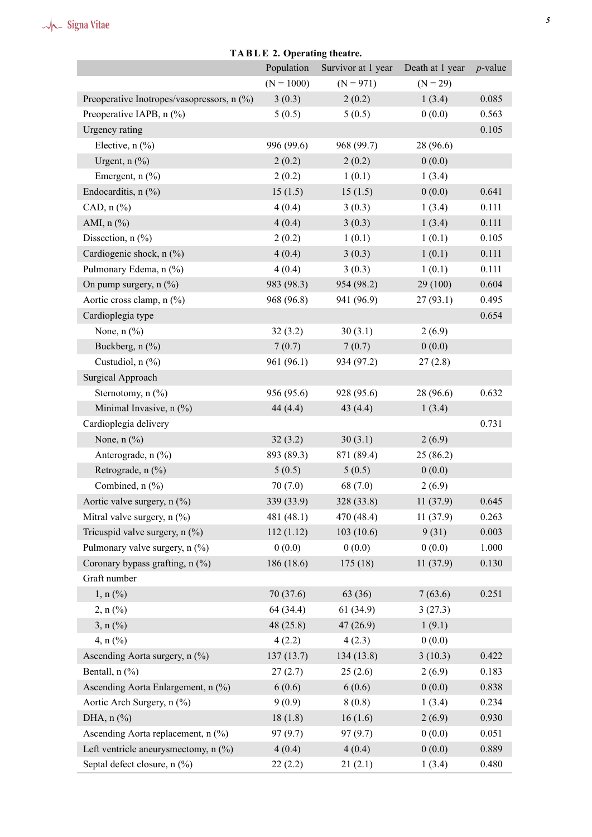| TADLE 4. OPCTATHE MEATH.                   |              |                    |                 |            |  |  |
|--------------------------------------------|--------------|--------------------|-----------------|------------|--|--|
|                                            | Population   | Survivor at 1 year | Death at 1 year | $p$ -value |  |  |
|                                            | $(N = 1000)$ | $(N = 971)$        | $(N = 29)$      |            |  |  |
| Preoperative Inotropes/vasopressors, n (%) | 3(0.3)       | 2(0.2)             | 1(3.4)          | 0.085      |  |  |
| Preoperative IAPB, n (%)                   | 5(0.5)       | 5(0.5)             | 0(0.0)          | 0.563      |  |  |
| Urgency rating                             |              |                    |                 | 0.105      |  |  |
| Elective, $n$ $(\%)$                       | 996 (99.6)   | 968 (99.7)         | 28 (96.6)       |            |  |  |
| Urgent, $n$ (%)                            | 2(0.2)       | 2(0.2)             | 0(0.0)          |            |  |  |
| Emergent, $n$ (%)                          | 2(0.2)       | 1(0.1)             | 1(3.4)          |            |  |  |
| Endocarditis, $n$ (%)                      | 15(1.5)      | 15(1.5)            | 0(0.0)          | 0.641      |  |  |
| CAD, $n$ $%$                               | 4(0.4)       | 3(0.3)             | 1(3.4)          | 0.111      |  |  |
| AMI, n (%)                                 | 4(0.4)       | 3(0.3)             | 1(3.4)          | 0.111      |  |  |
| Dissection, $n$ (%)                        | 2(0.2)       | 1(0.1)             | 1(0.1)          | 0.105      |  |  |
| Cardiogenic shock, n (%)                   | 4(0.4)       | 3(0.3)             | 1(0.1)          | 0.111      |  |  |
| Pulmonary Edema, n (%)                     | 4(0.4)       | 3(0.3)             | 1(0.1)          | 0.111      |  |  |
| On pump surgery, n (%)                     | 983 (98.3)   | 954 (98.2)         | 29(100)         | 0.604      |  |  |
| Aortic cross clamp, n (%)                  | 968 (96.8)   | 941 (96.9)         | 27(93.1)        | 0.495      |  |  |
| Cardioplegia type                          |              |                    |                 | 0.654      |  |  |
| None, $n$ $%$                              | 32(3.2)      | 30(3.1)            | 2(6.9)          |            |  |  |
| Buckberg, n (%)                            | 7(0.7)       | 7(0.7)             | 0(0.0)          |            |  |  |
| Custudiol, n (%)                           | 961 (96.1)   | 934 (97.2)         | 27(2.8)         |            |  |  |
| Surgical Approach                          |              |                    |                 |            |  |  |
| Sternotomy, n (%)                          | 956 (95.6)   | 928 (95.6)         | 28 (96.6)       | 0.632      |  |  |
| Minimal Invasive, n (%)                    | 44 $(4.4)$   | 43(4.4)            | 1(3.4)          |            |  |  |
| Cardioplegia delivery                      |              |                    |                 | 0.731      |  |  |
| None, $n$ $%$                              | 32(3.2)      | 30(3.1)            | 2(6.9)          |            |  |  |
| Anterograde, n (%)                         | 893 (89.3)   | 871 (89.4)         | 25(86.2)        |            |  |  |
| Retrograde, n (%)                          | 5(0.5)       | 5(0.5)             | 0(0.0)          |            |  |  |
| Combined, n (%)                            | 70(7.0)      | 68 (7.0)           | 2(6.9)          |            |  |  |
| Aortic valve surgery, n (%)                | 339 (33.9)   | 328 (33.8)         | 11(37.9)        | 0.645      |  |  |
| Mitral valve surgery, $n$ (%)              | 481 (48.1)   | 470 (48.4)         | 11(37.9)        | 0.263      |  |  |
| Tricuspid valve surgery, $n$ (%)           | 112(1.12)    | 103(10.6)          | 9(31)           | 0.003      |  |  |
| Pulmonary valve surgery, n (%)             | 0(0.0)       | 0(0.0)             | 0(0.0)          | 1.000      |  |  |
| Coronary bypass grafting, n (%)            | 186 (18.6)   | 175(18)            | 11(37.9)        | 0.130      |  |  |
| Graft number                               |              |                    |                 |            |  |  |
| 1, n (%)                                   | 70 (37.6)    | 63 (36)            | 7(63.6)         | 0.251      |  |  |
| $2, n$ (%)                                 | 64 (34.4)    | 61(34.9)           | 3(27.3)         |            |  |  |
| $3, n$ (%)                                 | 48(25.8)     | 47(26.9)           | 1(9.1)          |            |  |  |
| 4, $n$ (%)                                 | 4(2.2)       | 4(2.3)             | 0(0.0)          |            |  |  |
| Ascending Aorta surgery, n (%)             | 137(13.7)    | 134(13.8)          | 3(10.3)         | 0.422      |  |  |
| Bentall, $n$ $(\%)$                        | 27(2.7)      | 25(2.6)            | 2(6.9)          | 0.183      |  |  |
| Ascending Aorta Enlargement, n (%)         | 6(0.6)       | 6(0.6)             | 0(0.0)          | 0.838      |  |  |
| Aortic Arch Surgery, n (%)                 | 9(0.9)       | 8(0.8)             | 1(3.4)          | 0.234      |  |  |
| DHA, $n$ $%$                               | 18(1.8)      | 16(1.6)            | 2(6.9)          | 0.930      |  |  |
| Ascending Aorta replacement, n (%)         | 97(9.7)      | 97(9.7)            | 0(0.0)          | 0.051      |  |  |
| Left ventricle aneurysmectomy, n (%)       | 4(0.4)       | 4(0.4)             | 0(0.0)          | 0.889      |  |  |
| Septal defect closure, n (%)               | 22(2.2)      | 21(2.1)            | 1(3.4)          | 0.480      |  |  |

## **TA B L E 2. Operating theatre.**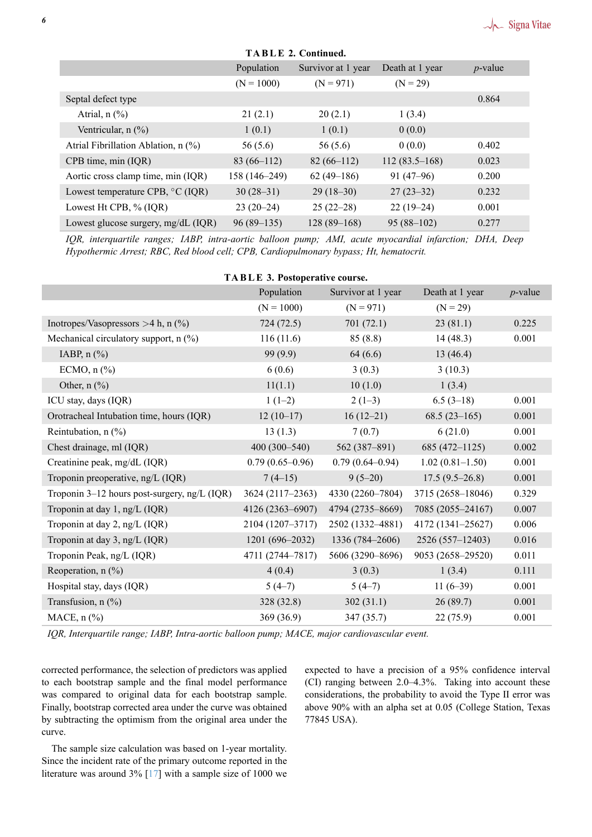<span id="page-5-0"></span>

| <b>TABLE 2. Continued.</b>            |               |                    |                 |            |  |  |
|---------------------------------------|---------------|--------------------|-----------------|------------|--|--|
|                                       | Population    | Survivor at 1 year | Death at 1 year | $p$ -value |  |  |
|                                       | $(N = 1000)$  | $(N = 971)$        | $(N = 29)$      |            |  |  |
| Septal defect type                    |               |                    |                 | 0.864      |  |  |
| Atrial, $n$ $(\%)$                    | 21(2.1)       | 20(2.1)            | 1(3.4)          |            |  |  |
| Ventricular, $n$ $(\%)$               | 1(0.1)        | 1(0.1)             | 0(0.0)          |            |  |  |
| Atrial Fibrillation Ablation, n (%)   | 56(5.6)       | 56(5.6)            | 0(0.0)          | 0.402      |  |  |
| CPB time, min (IQR)                   | $83(66-112)$  | $82(66-112)$       | $112(83.5-168)$ | 0.023      |  |  |
| Aortic cross clamp time, min (IQR)    | 158 (146-249) | $62(49-186)$       | $91(47-96)$     | 0.200      |  |  |
| Lowest temperature CPB, °C (IQR)      | $30(28-31)$   | $29(18-30)$        | $27(23-32)$     | 0.232      |  |  |
| Lowest Ht CPB, % (IQR)                | $23(20-24)$   | $25(22-28)$        | $22(19-24)$     | 0.001      |  |  |
| Lowest glucose surgery, $mg/dL$ (IQR) | $96(89-135)$  | $128(89-168)$      | $95(88-102)$    | 0.277      |  |  |

*IQR, interquartile ranges; IABP, intra-aortic balloon pump; AMI, acute myocardial infarction; DHA, Deep Hypothermic Arrest; RBC, Red blood cell; CPB, Cardiopulmonary bypass; Ht, hematocrit.*

<span id="page-5-1"></span>

| <b>IABLE 3. Postoperative course.</b>          |                   |                     |                   |            |  |  |
|------------------------------------------------|-------------------|---------------------|-------------------|------------|--|--|
|                                                | Population        | Survivor at 1 year  | Death at 1 year   | $p$ -value |  |  |
|                                                | $(N = 1000)$      | $(N = 971)$         | $(N = 29)$        |            |  |  |
| Inotropes/Vasopressors > 4 h, n $(\%)$         | 724(72.5)         | 701(72.1)           | 23(81.1)          | 0.225      |  |  |
| Mechanical circulatory support, $n$ (%)        | 116(11.6)         | 85(8.8)             | 14(48.3)          | 0.001      |  |  |
| IABP, $n$ $%$                                  | 99(9.9)           | 64(6.6)             | 13(46.4)          |            |  |  |
| ECMO, $n$ $%$                                  | 6(0.6)            | 3(0.3)              | 3(10.3)           |            |  |  |
| Other, $n$ (%)                                 | 11(1.1)           | 10(1.0)             | 1(3.4)            |            |  |  |
| ICU stay, days (IQR)                           | $1(1-2)$          | $2(1-3)$            | $6.5(3-18)$       | 0.001      |  |  |
| Orotracheal Intubation time, hours (IQR)       | $12(10-17)$       | $16(12-21)$         | $68.5(23-165)$    | 0.001      |  |  |
| Reintubation, $n$ (%)                          | 13(1.3)           | 7(0.7)              | 6(21.0)           | 0.001      |  |  |
| Chest drainage, ml (IQR)                       | $400(300 - 540)$  | 562 (387–891)       | $685(472 - 1125)$ | 0.002      |  |  |
| Creatinine peak, mg/dL (IQR)                   | $0.79(0.65-0.96)$ | $0.79(0.64 - 0.94)$ | $1.02(0.81-1.50)$ | 0.001      |  |  |
| Troponin preoperative, ng/L (IQR)              | $7(4-15)$         | $9(5-20)$           | $17.5(9.5-26.8)$  | 0.001      |  |  |
| Troponin $3-12$ hours post-surgery, ng/L (IQR) | 3624 (2117–2363)  | 4330 (2260-7804)    | 3715 (2658-18046) | 0.329      |  |  |
| Troponin at day 1, ng/L (IQR)                  | 4126 (2363-6907)  | 4794 (2735-8669)    | 7085 (2055-24167) | 0.007      |  |  |
| Troponin at day 2, ng/L (IQR)                  | 2104 (1207-3717)  | 2502 (1332-4881)    | 4172 (1341-25627) | 0.006      |  |  |
| Troponin at day 3, ng/L (IQR)                  | $1201(696-2032)$  | 1336 (784–2606)     | 2526 (557-12403)  | 0.016      |  |  |
| Troponin Peak, ng/L (IQR)                      | 4711 (2744-7817)  | 5606 (3290-8696)    | 9053 (2658-29520) | 0.011      |  |  |
| Reoperation, n (%)                             | 4(0.4)            | 3(0.3)              | 1(3.4)            | 0.111      |  |  |
| Hospital stay, days (IQR)                      | $5(4-7)$          | $5(4-7)$            | $11(6-39)$        | 0.001      |  |  |
| Transfusion, $n$ (%)                           | 328(32.8)         | 302(31.1)           | 26(89.7)          | 0.001      |  |  |
| MACE, $n$ $%$                                  | 369 (36.9)        | 347(35.7)           | 22(75.9)          | 0.001      |  |  |
|                                                |                   |                     |                   |            |  |  |

**TA B L E 3. Postoperative course.**

*IQR, Interquartile range; IABP, Intra-aortic balloon pump; MACE, major cardiovascular event.*

corrected performance, the selection of predictors was applied to each bootstrap sample and the final model performance was compared to original data for each bootstrap sample. Finally, bootstrap corrected area under the curve was obtained by subtracting the optimism from the original area under the curve.

The sample size calculation was based on 1-year mortality. Since the incident rate of the primary outcome reported in the literature was around 3% [17] with a sample size of 1000 we expected to have a precision of a 95% confidence interval (CI) ranging between 2.0–4.3%. Taking into account these considerations, the probability to avoid the Type II error was above 90% with an alpha set at 0.05 (College Station, Texas 77845 USA).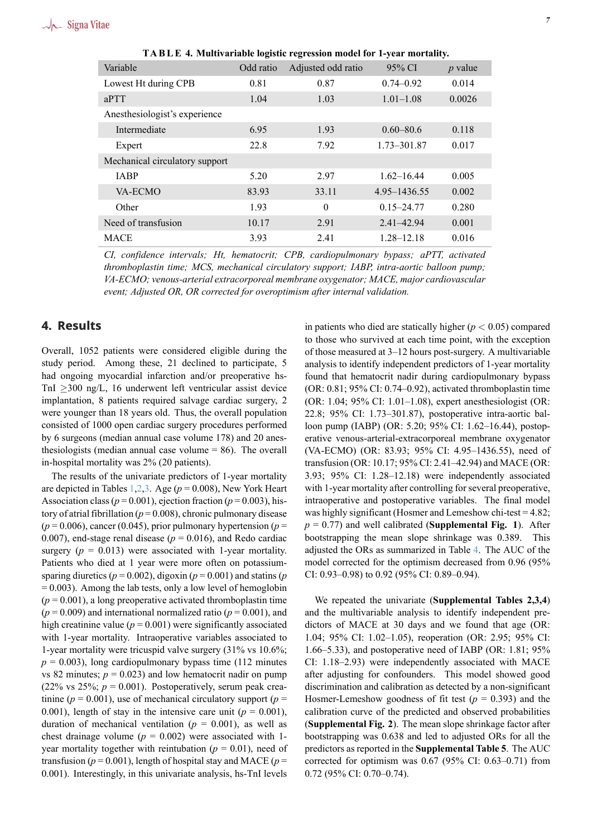<span id="page-6-0"></span>

| Variable                       | Odd ratio | Adjusted odd ratio | 95% CI         | $p$ value |  |  |
|--------------------------------|-----------|--------------------|----------------|-----------|--|--|
| Lowest Ht during CPB           | 0.81      | 0.87               | $0.74 - 0.92$  | 0.014     |  |  |
| aPTT                           | 1.04      | 1.03               | $1.01 - 1.08$  | 0.0026    |  |  |
| Anesthesiologist's experience  |           |                    |                |           |  |  |
| Intermediate                   | 6.95      | 1.93               | $0.60 - 80.6$  | 0.118     |  |  |
| Expert                         | 22.8      | 7.92               | 1.73-301.87    | 0.017     |  |  |
| Mechanical circulatory support |           |                    |                |           |  |  |
| <b>JABP</b>                    | 5.20      | 2.97               | $1.62 - 16.44$ | 0.005     |  |  |
| VA-ECMO                        | 83.93     | 33.11              | 4.95–1436.55   | 0.002     |  |  |
| Other                          | 1.93      | $\theta$           | $0.15 - 24.77$ | 0.280     |  |  |
| Need of transfusion            | 10.17     | 2.91               | $2.41 - 42.94$ | 0.001     |  |  |
| <b>MACE</b>                    | 3.93      | 2.41               | $1.28 - 12.18$ | 0.016     |  |  |

**TA B L E 4. Multivariable logistic regression model for 1-year mortality.**

*CI, confidence intervals; Ht, hematocrit; CPB, cardiopulmonary bypass; aPTT, activated thromboplastin time; MCS, mechanical circulatory support; IABP, intra-aortic balloon pump; VA-ECMO; venous-arterial extracorporeal membrane oxygenator; MACE, major cardiovascular event; Adjusted OR, OR corrected for overoptimism after internal validation.*

## **4. Results**

Overall, 1052 patients were considered eligible during the study period. Among these, 21 declined to participate, 5 had ongoing myocardial infarction and/or preoperative hs-TnI *≥*300 ng/L, 16 underwent left ventricular assist device implantation, 8 patients required salvage cardiac surgery, 2 were younger than 18 years old. Thus, the overall population consisted of 1000 open cardiac surgery procedures performed by 6 surgeons (median annual case volume 178) and 20 anesthesiologists (median annual case volume  $= 86$ ). The overall in-hospital mortality was 2% (20 patients).

The results of the univariate predictors of 1-year mortality are depicted in Tables 1,2,3. Age ( $p = 0.008$ ), New York Heart Association class ( $p = 0.001$ ), ejection fraction ( $p = 0.003$ ), history of atrial fibrillation ( $p = 0.008$ ), chronic pulmonary disease  $(p = 0.006)$ , cancer (0.045), prior pulmonary hypertension ( $p =$ 0.007), end-stage ren[al](#page-3-0) [di](#page-5-0)[se](#page-5-1)ase ( $p = 0.016$ ), and Redo cardiac surgery  $(p = 0.013)$  were associated with 1-year mortality. Patients who died at 1 year were more often on potassiumsparing diuretics ( $p = 0.002$ ), digoxin ( $p = 0.001$ ) and statins ( $p$  $= 0.003$ ). Among the lab tests, only a low level of hemoglobin  $(p = 0.001)$ , a long preoperative activated thromboplastin time  $(p = 0.009)$  and international normalized ratio  $(p = 0.001)$ , and high creatinine value  $(p = 0.001)$  were significantly associated with 1-year mortality. Intraoperative variables associated to 1-year mortality were tricuspid valve surgery (31% vs 10.6%;  $p = 0.003$ ), long cardiopulmonary bypass time (112 minutes vs 82 minutes;  $p = 0.023$ ) and low hematocrit nadir on pump (22% vs 25%;  $p = 0.001$ ). Postoperatively, serum peak creatinine ( $p = 0.001$ ), use of mechanical circulatory support ( $p =$ 0.001), length of stay in the intensive care unit  $(p = 0.001)$ , duration of mechanical ventilation  $(p = 0.001)$ , as well as chest drainage volume  $(p = 0.002)$  were associated with 1year mortality together with reintubation ( $p = 0.01$ ), need of transfusion ( $p = 0.001$ ), length of hospital stay and MACE ( $p =$ 0.001). Interestingly, in this univariate analysis, hs-TnI levels in patients who died are statically higher  $(p < 0.05)$  compared to those who survived at each time point, with the exception of those measured at 3–12 hours post-surgery. A multivariable analysis to identify independent predictors of 1-year mortality found that hematocrit nadir during cardiopulmonary bypass (OR: 0.81; 95% CI: 0.74–0.92), activated thromboplastin time (OR: 1.04; 95% CI: 1.01–1.08), expert anesthesiologist (OR: 22.8; 95% CI: 1.73–301.87), postoperative intra-aortic balloon pump (IABP) (OR: 5.20; 95% CI: 1.62–16.44), postoperative venous-arterial-extracorporeal membrane oxygenator (VA-ECMO) (OR: 83.93; 95% CI: 4.95–1436.55), need of transfusion (OR: 10.17; 95% CI: 2.41–42.94) and MACE (OR: 3.93; 95% CI: 1.28–12.18) were independently associated with 1-year mortality after controlling for several preoperative, intraoperative and postoperative variables. The final model was highly significant (Hosmer and Lemeshow chi-test = 4.82;  $p = 0.77$ ) and well calibrated (**Supplemental Fig. 1**). After bootstrapping the mean slope shrinkage was 0.389. This adjusted the ORs as summarized in Table 4. The AUC of the model corrected for the optimism decreased from 0.96 (95% CI: 0.93–0.98) to 0.92 (95% CI: 0.89–0.94).

We repeated the univariate (**Supplem[en](#page-6-0)tal Tables 2,3,4**) and the multivariable analysis to identify independent predictors of MACE at 30 days and we found that age (OR: 1.04; 95% CI: 1.02–1.05), reoperation (OR: 2.95; 95% CI: 1.66–5.33), and postoperative need of IABP (OR: 1.81; 95% CI: 1.18–2.93) were independently associated with MACE after adjusting for confounders. This model showed good discrimination and calibration as detected by a non-significant Hosmer-Lemeshow goodness of fit test  $(p = 0.393)$  and the calibration curve of the predicted and observed probabilities (**Supplemental Fig. 2**). The mean slope shrinkage factor after bootstrapping was 0.638 and led to adjusted ORs for all the predictors as reported in the **Supplemental Table 5**. The AUC corrected for optimism was 0.67 (95% CI: 0.63–0.71) from 0.72 (95% CI: 0.70–0.74).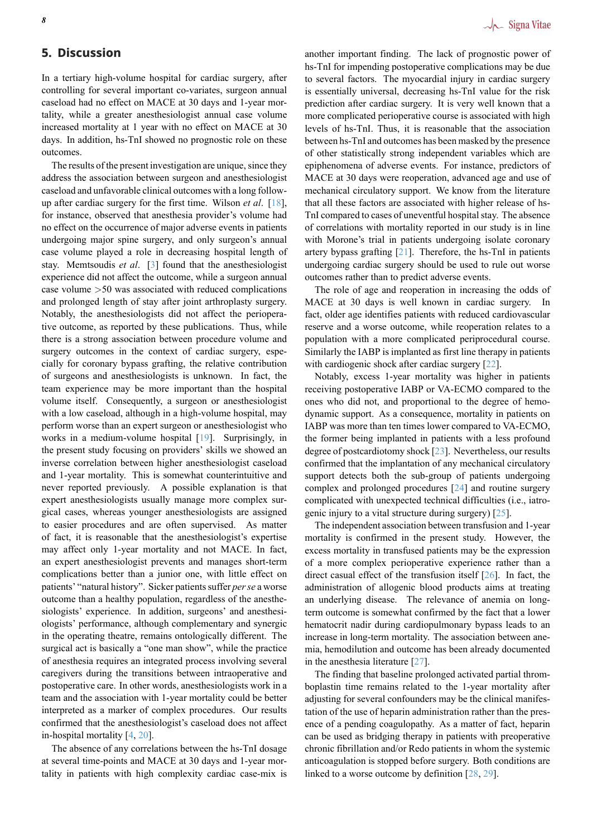## **5. Discussion**

In a tertiary high-volume hospital for cardiac surgery, after controlling for several important co-variates, surgeon annual caseload had no effect on MACE at 30 days and 1-year mortality, while a greater anesthesiologist annual case volume increased mortality at 1 year with no effect on MACE at 30 days. In addition, hs-TnI showed no prognostic role on these outcomes.

The results of the present investigation are unique, since they address the association between surgeon and anesthesiologist caseload and unfavorable clinical outcomes with a long followup after cardiac surgery for the first time. Wilson *et al*. [18], for instance, observed that anesthesia provider's volume had no effect on the occurrence of major adverse events in patients undergoing major spine surgery, and only surgeon's annual case volume played a role in decreasing hospital lengt[h o](#page-9-13)f stay. Memtsoudis *et al*. [3] found that the anesthesiologist experience did not affect the outcome, while a surgeon annual case volume *>*50 was associated with reduced complications and prolonged length of stay after joint arthroplasty surgery. Notably, the anesthesiolo[gis](#page-8-2)ts did not affect the perioperative outcome, as reported by these publications. Thus, while there is a strong association between procedure volume and surgery outcomes in the context of cardiac surgery, especially for coronary bypass grafting, the relative contribution of surgeons and anesthesiologists is unknown. In fact, the team experience may be more important than the hospital volume itself. Consequently, a surgeon or anesthesiologist with a low caseload, although in a high-volume hospital, may perform worse than an expert surgeon or anesthesiologist who works in a medium-volume hospital [19]. Surprisingly, in the present study focusing on providers' skills we showed an inverse correlation between higher anesthesiologist caseload and 1-year mortality. This is somewhat counterintuitive and never reported previously. A possib[le e](#page-9-14)xplanation is that expert anesthesiologists usually manage more complex surgical cases, whereas younger anesthesiologists are assigned to easier procedures and are often supervised. As matter of fact, it is reasonable that the anesthesiologist's expertise may affect only 1-year mortality and not MACE. In fact, an expert anesthesiologist prevents and manages short-term complications better than a junior one, with little effect on patients' "natural history". Sicker patients suffer *per se* a worse outcome than a healthy population, regardless of the anesthesiologists' experience. In addition, surgeons' and anesthesiologists' performance, although complementary and synergic in the operating theatre, remains ontologically different. The surgical act is basically a "one man show", while the practice of anesthesia requires an integrated process involving several caregivers during the transitions between intraoperative and postoperative care. In other words, anesthesiologists work in a team and the association with 1-year mortality could be better interpreted as a marker of complex procedures. Our results confirmed that the anesthesiologist's caseload does not affect in-hospital mortality [4, 20].

The absence of any correlations between the hs-TnI dosage at several time-points and MACE at 30 days and 1-year mortality in patients with high complexity cardiac case-mix is another important finding. The lack of prognostic power of hs-TnI for impending postoperative complications may be due to several factors. The myocardial injury in cardiac surgery is essentially universal, decreasing hs-TnI value for the risk prediction after cardiac surgery. It is very well known that a more complicated perioperative course is associated with high levels of hs-TnI. Thus, it is reasonable that the association between hs-TnI and outcomes has been masked by the presence of other statistically strong independent variables which are epiphenomena of adverse events. For instance, predictors of MACE at 30 days were reoperation, advanced age and use of mechanical circulatory support. We know from the literature that all these factors are associated with higher release of hs-TnI compared to cases of uneventful hospital stay. The absence of correlations with mortality reported in our study is in line with Morone's trial in patients undergoing isolate coronary artery bypass grafting  $[21]$ . Therefore, the hs-TnI in patients undergoing cardiac surgery should be used to rule out worse outcomes rather than to predict adverse events.

The role of age and reoperation in increasing the odds of MACE at 30 days is [we](#page-9-15)ll known in cardiac surgery. In fact, older age identifies patients with reduced cardiovascular reserve and a worse outcome, while reoperation relates to a population with a more complicated periprocedural course. Similarly the IABP is implanted as first line therapy in patients with cardiogenic shock after cardiac surgery [22].

Notably, excess 1-year mortality was higher in patients receiving postoperative IABP or VA-ECMO compared to the ones who did not, and proportional to the degree of hemodynamic support. As a consequence, mortali[ty i](#page-9-16)n patients on IABP was more than ten times lower compared to VA-ECMO, the former being implanted in patients with a less profound degree of postcardiotomy shock [23]. Nevertheless, our results confirmed that the implantation of any mechanical circulatory support detects both the sub-group of patients undergoing complex and prolonged procedures [24] and routine surgery complicated with unexpected te[chn](#page-9-17)ical difficulties (i.e., iatrogenic injury to a vital structure during surgery) [25].

The independent association between transfusion and 1-year mortality is confirmed in the prese[nt s](#page-9-18)tudy. However, the excess mortality in transfused patients may be the expression of a more complex perioperative experience [rat](#page-9-19)her than a direct casual effect of the transfusion itself [26]. In fact, the administration of allogenic blood products aims at treating an underlying disease. The relevance of anemia on longterm outcome is somewhat confirmed by the fact that a lower hematocrit nadir during cardiopulmonary b[ypa](#page-9-20)ss leads to an increase in long-term mortality. The association between anemia, hemodilution and outcome has been already documented in the anesthesia literature [27].

The finding that baseline prolonged activated partial thromboplastin time remains related to the 1-year mortality after adjusting for several confounders may be the clinical manifestation of the use of heparin [adm](#page-9-21)inistration rather than the presence of a pending coagulopathy. As a matter of fact, heparin can be used as bridging therapy in patients with preoperative chronic fibrillation and/or Redo patients in whom the systemic anticoagulation is stopped before surgery. Both conditions are linked to a worse outcome by definition [28, 29].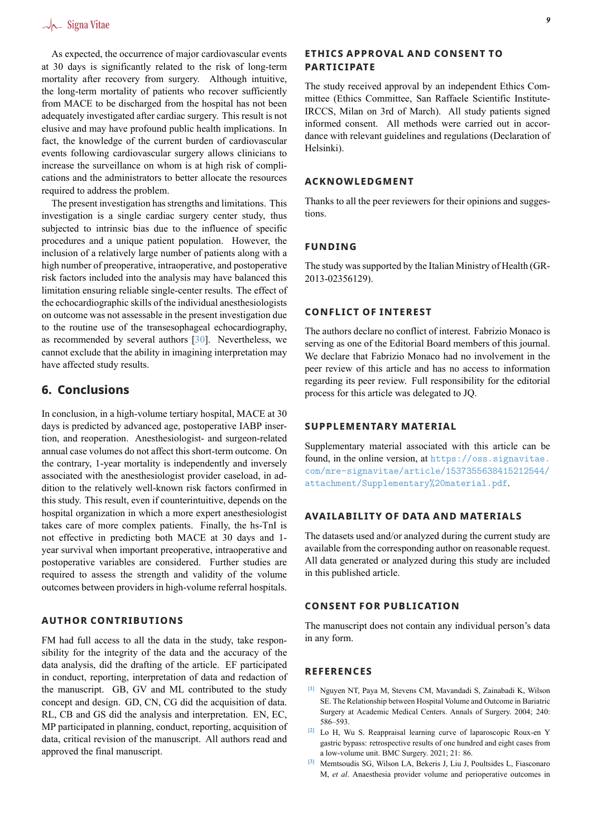As expected, the occurrence of major cardiovascular events at 30 days is significantly related to the risk of long-term mortality after recovery from surgery. Although intuitive, the long-term mortality of patients who recover sufficiently from MACE to be discharged from the hospital has not been adequately investigated after cardiac surgery. This result is not elusive and may have profound public health implications. In fact, the knowledge of the current burden of cardiovascular events following cardiovascular surgery allows clinicians to increase the surveillance on whom is at high risk of complications and the administrators to better allocate the resources required to address the problem.

The present investigation has strengths and limitations. This investigation is a single cardiac surgery center study, thus subjected to intrinsic bias due to the influence of specific procedures and a unique patient population. However, the inclusion of a relatively large number of patients along with a high number of preoperative, intraoperative, and postoperative risk factors included into the analysis may have balanced this limitation ensuring reliable single-center results. The effect of the echocardiographic skills of the individual anesthesiologists on outcome was not assessable in the present investigation due to the routine use of the transesophageal echocardiography, as recommended by several authors [30]. Nevertheless, we cannot exclude that the ability in imagining interpretation may have affected study results.

## **6. Conclusions**

In conclusion, in a high-volume tertiary hospital, MACE at 30 days is predicted by advanced age, postoperative IABP insertion, and reoperation. Anesthesiologist- and surgeon-related annual case volumes do not affect this short-term outcome. On the contrary, 1-year mortality is independently and inversely associated with the anesthesiologist provider caseload, in addition to the relatively well-known risk factors confirmed in this study. This result, even if counterintuitive, depends on the hospital organization in which a more expert anesthesiologist takes care of more complex patients. Finally, the hs-TnI is not effective in predicting both MACE at 30 days and 1 year survival when important preoperative, intraoperative and postoperative variables are considered. Further studies are required to assess the strength and validity of the volume outcomes between providers in high-volume referral hospitals.

## **AUTHOR CONTRIBUTIONS**

FM had full access to all the data in the study, take responsibility for the integrity of the data and the accuracy of the data analysis, did the drafting of the article. EF participated in conduct, reporting, interpretation of data and redaction of the manuscript. GB, GV and ML contributed to the study concept and design. GD, CN, CG did the acquisition of data. RL, CB and GS did the analysis and interpretation. EN, EC, MP participated in planning, conduct, reporting, acquisition of data, critical revision of the manuscript. All authors read and approved the final manuscript.

## **ETHICS APPROVAL AND CONSENT TO PARTICIPATE**

The study received approval by an independent Ethics Committee (Ethics Committee, San Raffaele Scientific Institute-IRCCS, Milan on 3rd of March). All study patients signed informed consent. All methods were carried out in accordance with relevant guidelines and regulations (Declaration of Helsinki).

## **ACKNOWLEDGMENT**

Thanks to all the peer reviewers for their opinions and suggestions.

#### **FUNDING**

The study was supported by the Italian Ministry of Health (GR-2013-02356129).

### **CONFLICT OF INTEREST**

The authors declare no conflict of interest. Fabrizio Monaco is serving as one of the Editorial Board members of this journal. We declare that Fabrizio Monaco had no involvement in the peer review of this article and has no access to information regarding its peer review. Full responsibility for the editorial process for this article was delegated to JQ.

## **SUPPLEMENTARY MATERIAL**

Supplementary material associated with this article can be found, in the online version, at https://oss.signavitae. com/mre-signavitae/article/1537355638415212544/ attachment/Supplementary%20material.pdf.

#### **[AVAILABILITY OF DATA AND MATERIALS](https://oss.signavitae.com/mre-signavitae/article/1537355638415212544/attachment/Supplementary%20material.pdf)**

[The datasets used and/or analyzed during the curren](https://oss.signavitae.com/mre-signavitae/article/1537355638415212544/attachment/Supplementary%20material.pdf)t study are available from the corresponding author on reasonable request. All data generated or analyzed during this study are included in this published article.

## **CONSENT FOR PUBLICATION**

The manuscript does not contain any individual person's data in any form.

## **REFERENCES**

- **[1]** Nguyen NT, Paya M, Stevens CM, Mavandadi S, Zainabadi K, Wilson SE. The Relationship between Hospital Volume and Outcome in Bariatric Surgery at Academic Medical Centers. Annals of Surgery. 2004; 240: 586–593.
- <span id="page-8-0"></span>**[2]** Lo H, Wu S. Reappraisal learning curve of laparoscopic Roux-en Y gastric bypass: retrospective results of one hundred and eight cases from a low-volume unit. BMC Surgery. 2021; 21: 86.
- <span id="page-8-2"></span><span id="page-8-1"></span>**[3]** Memtsoudis SG, Wilson LA, Bekeris J, Liu J, Poultsides L, Fiasconaro M, *et al*. Anaesthesia provider volume and perioperative outcomes in